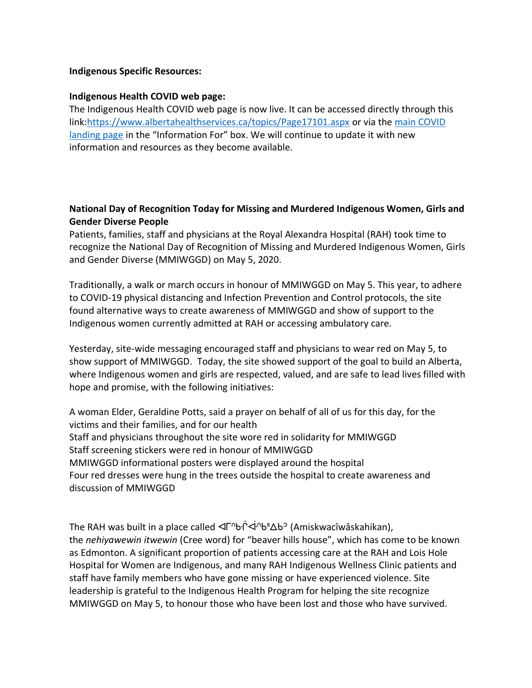#### **Indigenous Specific Resources:**

#### **Indigenous Health COVID web page:**

The Indigenous Health COVID web page is now live. It can be accessed directly through this link[:https://www.albertahealthservices.ca/topics/Page17101.aspx](https://www.albertahealthservices.ca/topics/Page17101.aspx) or via the [main COVID](https://www.albertahealthservices.ca/topics/Page16944.aspx)  [landing page](https://www.albertahealthservices.ca/topics/Page16944.aspx) in the "Information For" box. We will continue to update it with new information and resources as they become available.

# **National Day of Recognition Today for Missing and Murdered Indigenous Women, Girls and Gender Diverse People**

Patients, families, staff and physicians at the Royal Alexandra Hospital (RAH) took time to recognize the National Day of Recognition of Missing and Murdered Indigenous Women, Girls and Gender Diverse (MMIWGGD) on May 5, 2020.

Traditionally, a walk or march occurs in honour of MMIWGGD on May 5. This year, to adhere to COVID-19 physical distancing and Infection Prevention and Control protocols, the site found alternative ways to create awareness of MMIWGGD and show of support to the Indigenous women currently admitted at RAH or accessing ambulatory care.

Yesterday, site-wide messaging encouraged staff and physicians to wear red on May 5, to show support of MMIWGGD. Today, the site showed support of the goal to build an Alberta, where Indigenous women and girls are respected, valued, and are safe to lead lives filled with hope and promise, with the following initiatives:

• A woman Elder, Geraldine Potts, said a prayer on behalf of all of us for this day, for the victims and their families, and for our health • Staff and physicians throughout the site wore red in solidarity for MMIWGGD Staff screening stickers were red in honour of MMIWGGD • MMIWGGD informational posters were displayed around the hospital • Four red dresses were hung in the trees outside the hospital to create awareness and discussion of MMIWGGD

The RAH was built in a place called ⊲Г<sup>∩</sup>Ь·Ր்்̀ப<sup>n</sup>∆Ь<sup>⊃</sup> (Amiskwacîwâskahikan), the *nehiyawewin itwewin* (Cree word) for "beaver hills house", which has come to be known as Edmonton. A significant proportion of patients accessing care at the RAH and Lois Hole Hospital for Women are Indigenous, and many RAH Indigenous Wellness Clinic patients and staff have family members who have gone missing or have experienced violence. Site leadership is grateful to the Indigenous Health Program for helping the site recognize MMIWGGD on May 5, to honour those who have been lost and those who have survived.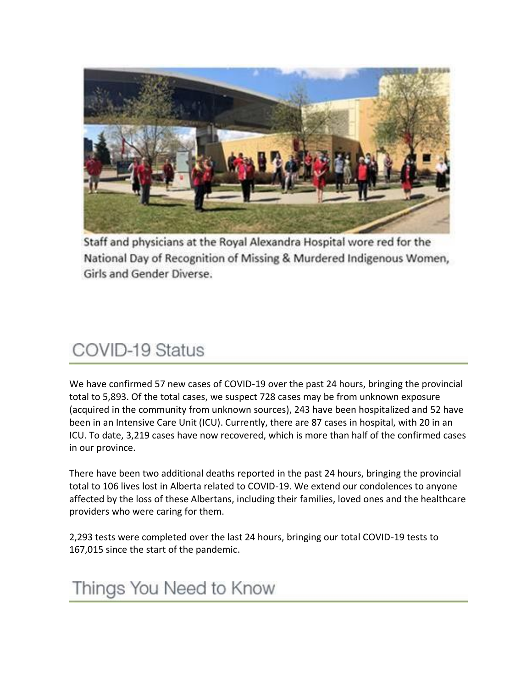

Staff and physicians at the Royal Alexandra Hospital wore red for the National Day of Recognition of Missing & Murdered Indigenous Women, Girls and Gender Diverse.

# **COVID-19 Status**

We have confirmed 57 new cases of COVID-19 over the past 24 hours, bringing the provincial total to 5,893. Of the total cases, we suspect 728 cases may be from unknown exposure (acquired in the community from unknown sources), 243 have been hospitalized and 52 have been in an Intensive Care Unit (ICU). Currently, there are 87 cases in hospital, with 20 in an ICU. To date, 3,219 cases have now recovered, which is more than half of the confirmed cases in our province.

There have been two additional deaths reported in the past 24 hours, bringing the provincial total to 106 lives lost in Alberta related to COVID-19. We extend our condolences to anyone affected by the loss of these Albertans, including their families, loved ones and the healthcare providers who were caring for them.

2,293 tests were completed over the last 24 hours, bringing our total COVID-19 tests to 167,015 since the start of the pandemic.

# Things You Need to Know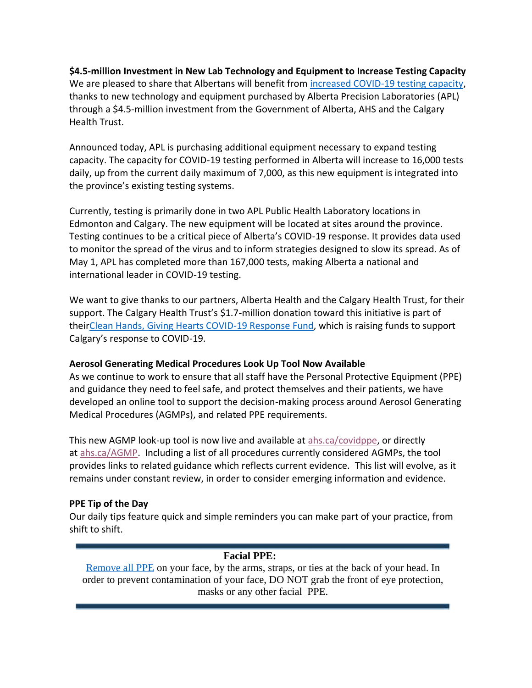### **\$4.5-million Investment in New Lab Technology and Equipment to Increase Testing Capacity**

We are pleased to share that Albertans will benefit from [increased COVID-19 testing capacity,](https://www.alberta.ca/release.cfm?xID=71270025A4DC1-FB15-F194-0E10491C5AB8AD29) thanks to new technology and equipment purchased by Alberta Precision Laboratories (APL) through a \$4.5-million investment from the Government of Alberta, AHS and the Calgary Health Trust.

Announced today, APL is purchasing additional equipment necessary to expand testing capacity. The capacity for COVID-19 testing performed in Alberta will increase to 16,000 tests daily, up from the current daily maximum of 7,000, as this new equipment is integrated into the province's existing testing systems.

Currently, testing is primarily done in two APL Public Health Laboratory locations in Edmonton and Calgary. The new equipment will be located at sites around the province. Testing continues to be a critical piece of Alberta's COVID-19 response. It provides data used to monitor the spread of the virus and to inform strategies designed to slow its spread. As of May 1, APL has completed more than 167,000 tests, making Alberta a national and international leader in COVID-19 testing.

We want to give thanks to our partners, Alberta Health and the Calgary Health Trust, for their support. The Calgary Health Trust's \$1.7-million donation toward this initiative is part of thei[rClean Hands, Giving Hearts COVID-19 Response Fund,](https://www.calgaryhealthtrust.ca/our-causes/campaigns/clean-hands-giving-hearts/) which is raising funds to support Calgary's response to COVID-19.

### **Aerosol Generating Medical Procedures Look Up Tool Now Available**

As we continue to work to ensure that all staff have the Personal Protective Equipment (PPE) and guidance they need to feel safe, and protect themselves and their patients, we have developed an online tool to support the decision-making process around Aerosol Generating Medical Procedures (AGMPs), and related PPE requirements.

This new AGMP look-up tool is now live and available at [ahs.ca/covidppe,](http://ahs.ca/covidppe) or directly at [ahs.ca/AGMP.](http://www.ahs.ca/AGMP) Including a list of all procedures currently considered AGMPs, the tool provides links to related guidance which reflects current evidence. This list will evolve, as it remains under constant review, in order to consider emerging information and evidence.

### **PPE Tip of the Day**

Our daily tips feature quick and simple reminders you can make part of your practice, from shift to shift.

### **Facial PPE:**

[Remove all PPE](https://www.albertahealthservices.ca/assets/Infofor/hp/if-hp-ipc-doffing-ppe-poster.pdf) on your face, by the arms, straps, or ties at the back of your head. In order to prevent contamination of your face, DO NOT grab the front of eye protection, masks or any other facial PPE.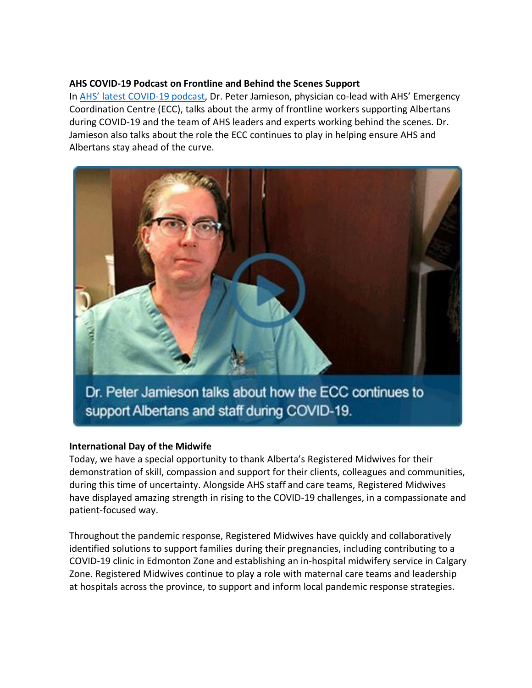## **AHS COVID-19 Podcast on Frontline and Behind the Scenes Support**

In [AHS' latest COVID](applewebdata://6BB808BD-4B5B-47D6-A9F5-489386C0F8C9/ahs.ca/covidpodcast)-19 podcast, Dr. Peter Jamieson, physician co-lead with AHS' Emergency Coordination Centre (ECC), talks about the army of frontline workers supporting Albertans during COVID-19 and the team of AHS leaders and experts working behind the scenes. Dr. Jamieson also talks about the role the ECC continues to play in helping ensure AHS and Albertans stay ahead of the curve.



### **International Day of the Midwife**

Today, we have a special opportunity to thank Alberta's Registered Midwives for their demonstration of skill, compassion and support for their clients, colleagues and communities, during this time of uncertainty. Alongside AHS staff and care teams, Registered Midwives have displayed amazing strength in rising to the COVID-19 challenges, in a compassionate and patient-focused way.

Throughout the pandemic response, Registered Midwives have quickly and collaboratively identified solutions to support families during their pregnancies, including contributing to a COVID-19 clinic in Edmonton Zone and establishing an in-hospital midwifery service in Calgary Zone. Registered Midwives continue to play a role with maternal care teams and leadership at hospitals across the province, to support and inform local pandemic response strategies.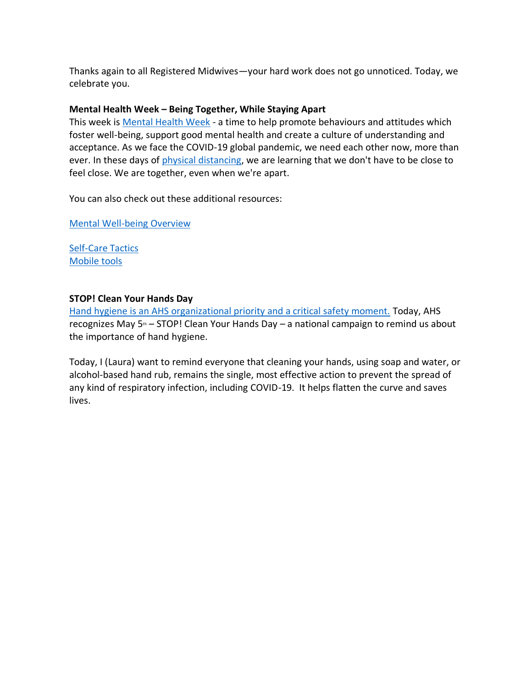Thanks again to all Registered Midwives—your hard work does not go unnoticed. Today, we celebrate you.

#### **Mental Health Week – Being Together, While Staying Apart**

This week is [Mental Health Week](https://mentalhealthweek.ca/) - a time to help promote behaviours and attitudes which foster well-being, support good mental health and create a culture of understanding and acceptance. As we face the COVID-19 global pandemic, we need each other now, more than ever. In these days of [physical distancing,](https://www.albertahealthservices.ca/topics/Page16997.aspx) we are learning that we don't have to be close to feel close. We are together, even when we're apart.

You can also check out these additional resources:

• [Mental Well-being](https://insite.albertahealthservices.ca/main/assets/hr/tms-hr-whs-mental-well-being-overview.pdf) Overview

**[Self-Care Tactics](https://insite.albertahealthservices.ca/main/assets/hr/tms-hr-whs-self-care-tactics.pdf)** [Mobile tools](https://www.albertahealthservices.ca/assets/info/ppih/if-ppih-covid-19-mobile-tools-mental-wellness.pdf)

#### **STOP! Clean Your Hands Day**

[Hand hygiene is an AHS organizational priority and a critical safety moment.](https://www.albertahealthservices.ca/topics/Page17117.aspx) Today, AHS recognizes May  $5<sup>th</sup>$  – STOP! Clean Your Hands Day – a national campaign to remind us about the importance of hand hygiene.

Today, I (Laura) want to remind everyone that cleaning your hands, using soap and water, or alcohol-based hand rub, remains the single, most effective action to prevent the spread of any kind of respiratory infection, including COVID-19. It helps flatten the curve and saves lives.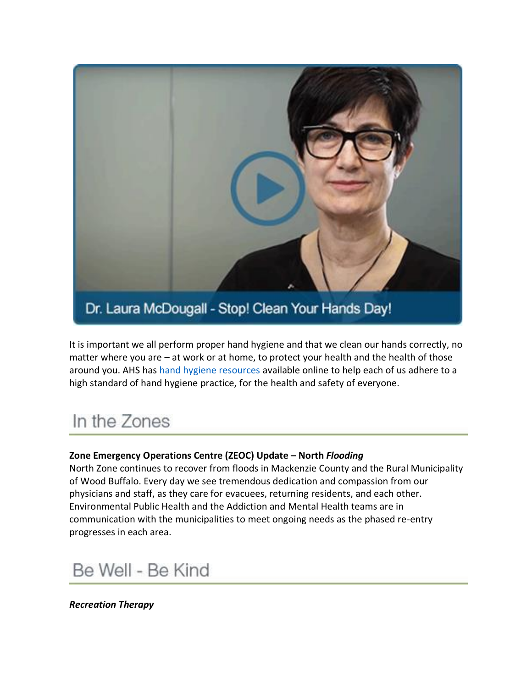

It is important we all perform proper hand hygiene and that we clean our hands correctly, no matter where you are – at work or at home, to protect your health and the health of those around you. AHS has [hand hygiene resources](https://www.albertahealthservices.ca/info/Page6426.aspx) available online to help each of us adhere to a high standard of hand hygiene practice, for the health and safety of everyone.

# In the Zones

# **Zone Emergency Operations Centre (ZEOC) Update – North** *Flooding*

North Zone continues to recover from floods in Mackenzie County and the Rural Municipality of Wood Buffalo. Every day we see tremendous dedication and compassion from our physicians and staff, as they care for evacuees, returning residents, and each other. Environmental Public Health and the Addiction and Mental Health teams are in communication with the municipalities to meet ongoing needs as the phased re-entry progresses in each area.

# Be Well - Be Kind

*Recreation Therapy*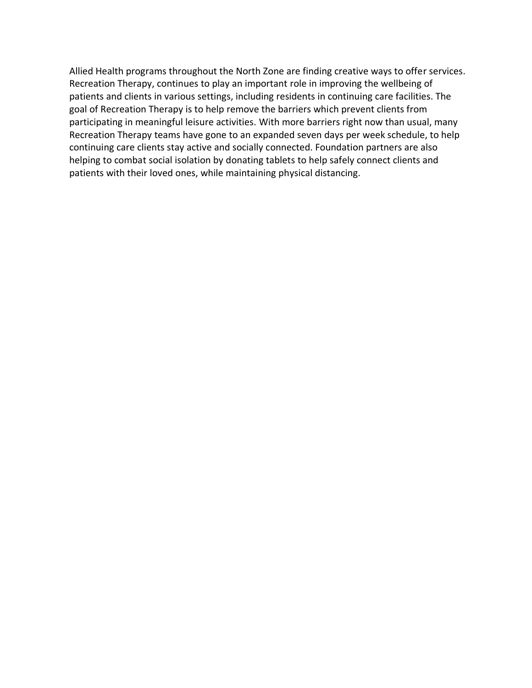Allied Health programs throughout the North Zone are finding creative ways to offer services. Recreation Therapy, continues to play an important role in improving the wellbeing of patients and clients in various settings, including residents in continuing care facilities. The goal of Recreation Therapy is to help remove the barriers which prevent clients from participating in meaningful leisure activities. With more barriers right now than usual, many Recreation Therapy teams have gone to an expanded seven days per week schedule, to help continuing care clients stay active and socially connected. Foundation partners are also helping to combat social isolation by donating tablets to help safely connect clients and patients with their loved ones, while maintaining physical distancing.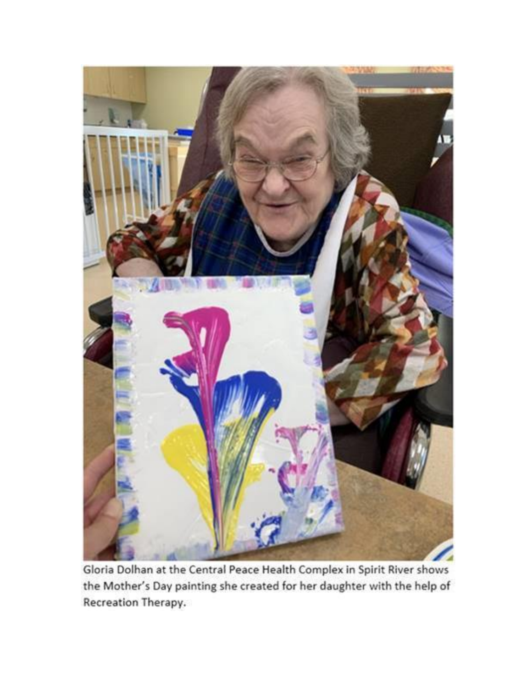

Gloria Dolhan at the Central Peace Health Complex in Spirit River shows the Mother's Day painting she created for her daughter with the help of Recreation Therapy.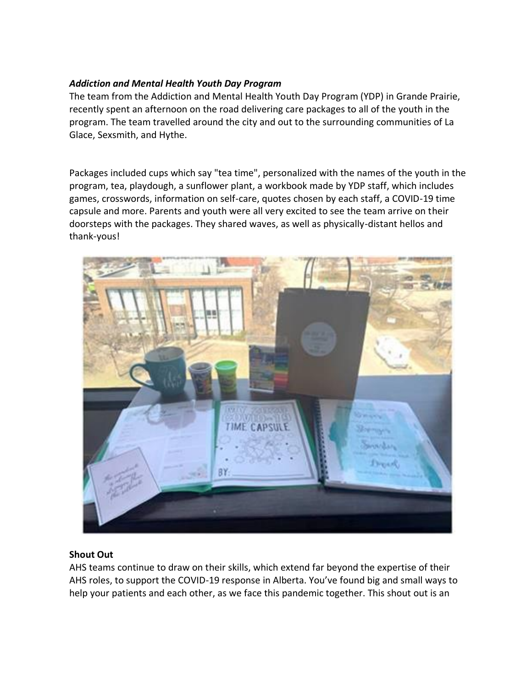## *Addiction and Mental Health Youth Day Program*

The team from the Addiction and Mental Health Youth Day Program (YDP) in Grande Prairie, recently spent an afternoon on the road delivering care packages to all of the youth in the program. The team travelled around the city and out to the surrounding communities of La Glace, Sexsmith, and Hythe.

Packages included cups which say "tea time", personalized with the names of the youth in the program, tea, playdough, a sunflower plant, a workbook made by YDP staff, which includes games, crosswords, information on self-care, quotes chosen by each staff, a COVID-19 time capsule and more. Parents and youth were all very excited to see the team arrive on their doorsteps with the packages. They shared waves, as well as physically-distant hellos and thank-yous!



### **Shout Out**

AHS teams continue to draw on their skills, which extend far beyond the expertise of their AHS roles, to support the COVID-19 response in Alberta. You've found big and small ways to help your patients and each other, as we face this pandemic together. This shout out is an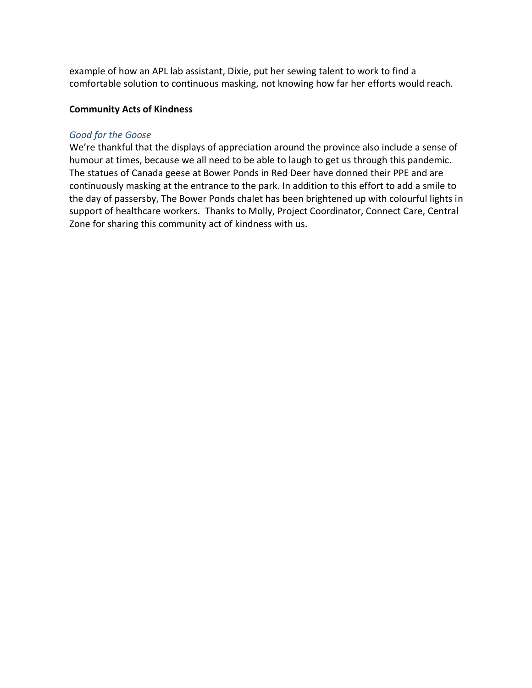example of how an APL lab assistant, Dixie, put her sewing talent to work to find a comfortable solution to continuous masking, not knowing how far her efforts would reach.

#### **Community Acts of Kindness**

#### *Good for the Goose*

We're thankful that the displays of appreciation around the province also include a sense of humour at times, because we all need to be able to laugh to get us through this pandemic. The statues of Canada geese at Bower Ponds in Red Deer have donned their PPE and are continuously masking at the entrance to the park. In addition to this effort to add a smile to the day of passersby, The Bower Ponds chalet has been brightened up with colourful lights in support of healthcare workers. Thanks to Molly, Project Coordinator, Connect Care, Central Zone for sharing this community act of kindness with us.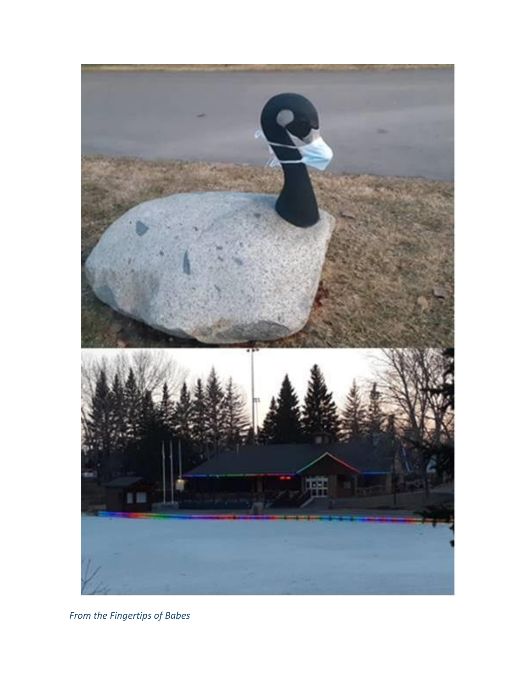

*From the Fingertips of Babes*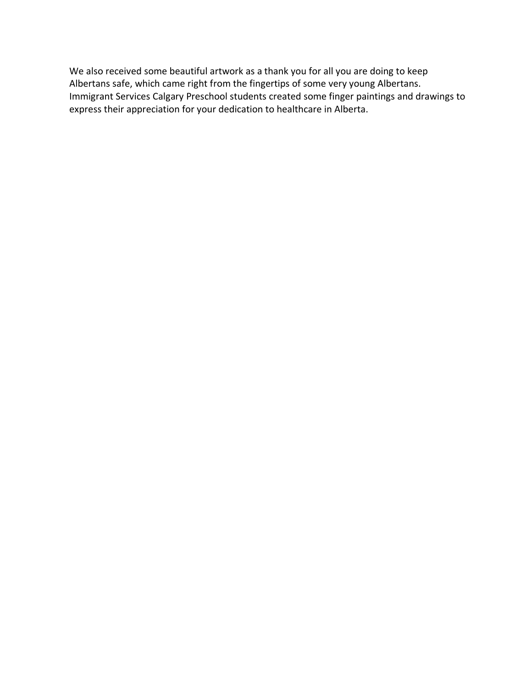We also received some beautiful artwork as a thank you for all you are doing to keep Albertans safe, which came right from the fingertips of some very young Albertans. Immigrant Services Calgary Preschool students created some finger paintings and drawings to express their appreciation for your dedication to healthcare in Alberta.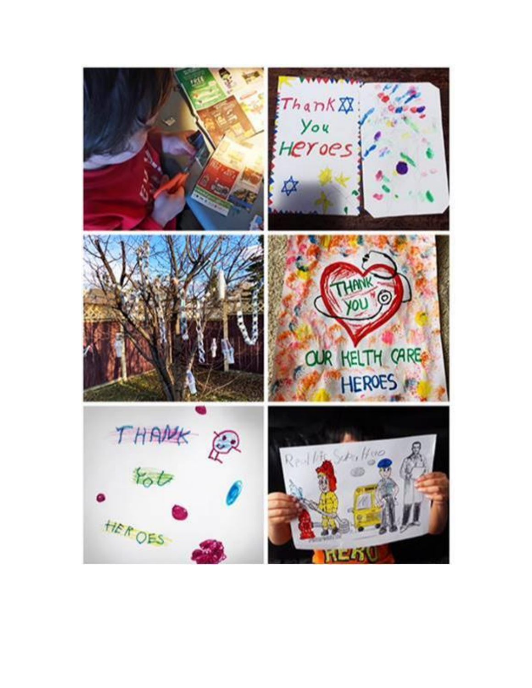